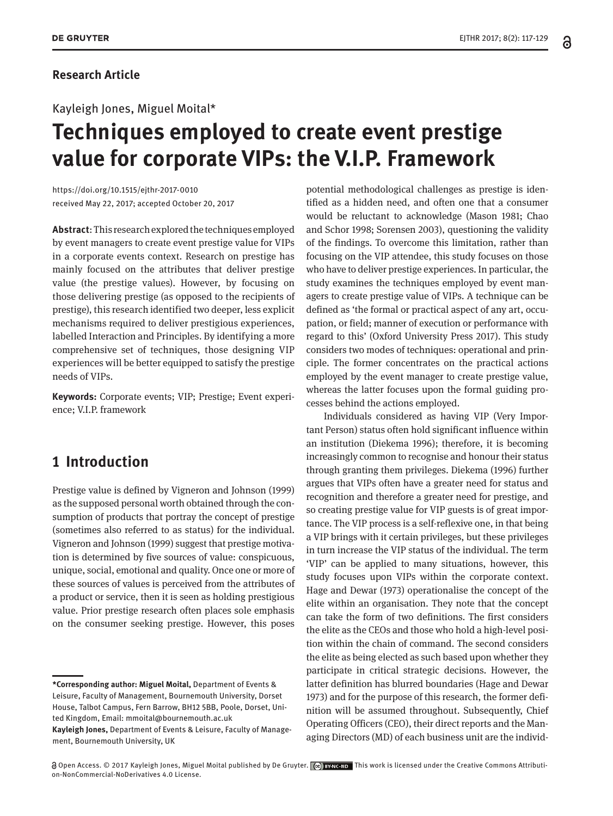# Kayleigh Jones, Miguel Moital\*

# **Techniques employed to create event prestige value for corporate VIPs: the V.I.P. Framework**

https://doi.org/10.1515/ejthr-2017-0010 received May 22, 2017; accepted October 20, 2017

**Abstract**: This research explored the techniques employed by event managers to create event prestige value for VIPs in a corporate events context. Research on prestige has mainly focused on the attributes that deliver prestige value (the prestige values). However, by focusing on those delivering prestige (as opposed to the recipients of prestige), this research identified two deeper, less explicit mechanisms required to deliver prestigious experiences, labelled Interaction and Principles. By identifying a more comprehensive set of techniques, those designing VIP experiences will be better equipped to satisfy the prestige needs of VIPs.

**Keywords:** Corporate events; VIP; Prestige; Event experience; V.I.P. framework

# **1 Introduction**

Prestige value is defined by Vigneron and Johnson (1999) as the supposed personal worth obtained through the consumption of products that portray the concept of prestige (sometimes also referred to as status) for the individual. Vigneron and Johnson (1999) suggest that prestige motivation is determined by five sources of value: conspicuous, unique, social, emotional and quality. Once one or more of these sources of values is perceived from the attributes of a product or service, then it is seen as holding prestigious value. Prior prestige research often places sole emphasis on the consumer seeking prestige. However, this poses potential methodological challenges as prestige is identified as a hidden need, and often one that a consumer would be reluctant to acknowledge (Mason 1981; Chao and Schor 1998; Sorensen 2003), questioning the validity of the findings. To overcome this limitation, rather than focusing on the VIP attendee, this study focuses on those who have to deliver prestige experiences. In particular, the study examines the techniques employed by event managers to create prestige value of VIPs. A technique can be defined as 'the formal or practical aspect of any art, occupation, or field; manner of execution or performance with regard to this' (Oxford University Press 2017). This study considers two modes of techniques: operational and principle. The former concentrates on the practical actions employed by the event manager to create prestige value, whereas the latter focuses upon the formal guiding processes behind the actions employed.

Individuals considered as having VIP (Very Important Person) status often hold significant influence within an institution (Diekema 1996); therefore, it is becoming increasingly common to recognise and honour their status through granting them privileges. Diekema (1996) further argues that VIPs often have a greater need for status and recognition and therefore a greater need for prestige, and so creating prestige value for VIP guests is of great importance. The VIP process is a self-reflexive one, in that being a VIP brings with it certain privileges, but these privileges in turn increase the VIP status of the individual. The term 'VIP' can be applied to many situations, however, this study focuses upon VIPs within the corporate context. Hage and Dewar (1973) operationalise the concept of the elite within an organisation. They note that the concept can take the form of two definitions. The first considers the elite as the CEOs and those who hold a high-level position within the chain of command. The second considers the elite as being elected as such based upon whether they participate in critical strategic decisions. However, the latter definition has blurred boundaries (Hage and Dewar 1973) and for the purpose of this research, the former definition will be assumed throughout. Subsequently, Chief Operating Officers (CEO), their direct reports and the Managing Directors (MD) of each business unit are the individ-

**<sup>\*</sup>Corresponding author: Miguel Moital,** Department of Events & Leisure, Faculty of Management, Bournemouth University, Dorset House, Talbot Campus, Fern Barrow, BH12 5BB, Poole, Dorset, United Kingdom, Email: mmoital@bournemouth.ac.uk

**Kayleigh Jones,** Department of Events & Leisure, Faculty of Management, Bournemouth University, UK

Open Access. © 2017 Kayleigh Jones, Miguel Moital published by De Gruyter. This work is licensed under the Creative Commons Attribution-NonCommercial-NoDerivatives 4.0 License.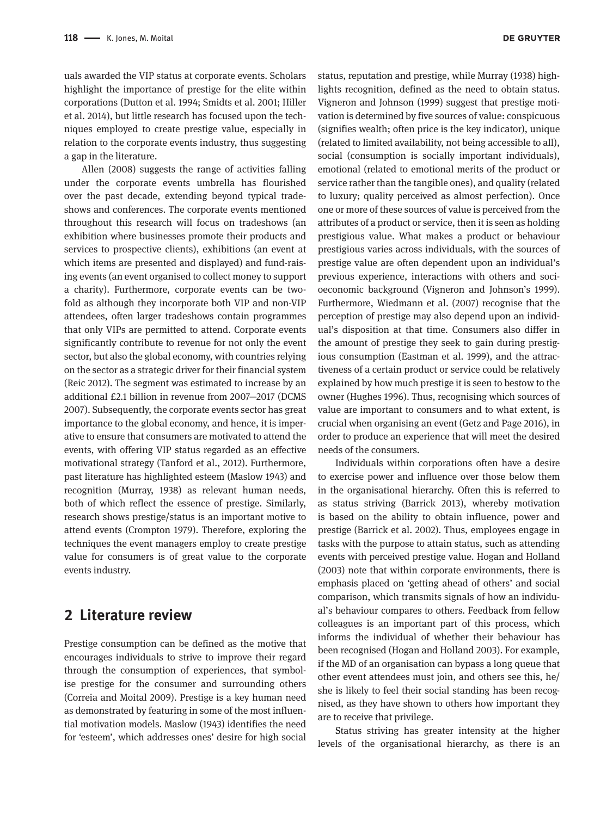uals awarded the VIP status at corporate events. Scholars highlight the importance of prestige for the elite within corporations (Dutton et al. 1994; Smidts et al. 2001; Hiller et al. 2014), but little research has focused upon the techniques employed to create prestige value, especially in relation to the corporate events industry, thus suggesting a gap in the literature.

Allen (2008) suggests the range of activities falling under the corporate events umbrella has flourished over the past decade, extending beyond typical tradeshows and conferences. The corporate events mentioned throughout this research will focus on tradeshows (an exhibition where businesses promote their products and services to prospective clients), exhibitions (an event at which items are presented and displayed) and fund-raising events (an event organised to collect money to support a charity). Furthermore, corporate events can be twofold as although they incorporate both VIP and non-VIP attendees, often larger tradeshows contain programmes that only VIPs are permitted to attend. Corporate events significantly contribute to revenue for not only the event sector, but also the global economy, with countries relying on the sector as a strategic driver for their financial system (Reic 2012). The segment was estimated to increase by an additional £2.1 billion in revenue from 2007—2017 (DCMS 2007). Subsequently, the corporate events sector has great importance to the global economy, and hence, it is imperative to ensure that consumers are motivated to attend the events, with offering VIP status regarded as an effective motivational strategy (Tanford et al., 2012). Furthermore, past literature has highlighted esteem (Maslow 1943) and recognition (Murray, 1938) as relevant human needs, both of which reflect the essence of prestige. Similarly, research shows prestige/status is an important motive to attend events (Crompton 1979). Therefore, exploring the techniques the event managers employ to create prestige value for consumers is of great value to the corporate events industry.

# **2 Literature review**

Prestige consumption can be defined as the motive that encourages individuals to strive to improve their regard through the consumption of experiences, that symbolise prestige for the consumer and surrounding others (Correia and Moital 2009). Prestige is a key human need as demonstrated by featuring in some of the most influential motivation models. Maslow (1943) identifies the need for 'esteem', which addresses ones' desire for high social

status, reputation and prestige, while Murray (1938) highlights recognition, defined as the need to obtain status. Vigneron and Johnson (1999) suggest that prestige motivation is determined by five sources of value: conspicuous (signifies wealth; often price is the key indicator), unique (related to limited availability, not being accessible to all), social (consumption is socially important individuals), emotional (related to emotional merits of the product or service rather than the tangible ones), and quality (related to luxury; quality perceived as almost perfection). Once one or more of these sources of value is perceived from the attributes of a product or service, then it is seen as holding prestigious value. What makes a product or behaviour prestigious varies across individuals, with the sources of prestige value are often dependent upon an individual's previous experience, interactions with others and socioeconomic background (Vigneron and Johnson's 1999). Furthermore, Wiedmann et al. (2007) recognise that the perception of prestige may also depend upon an individual's disposition at that time. Consumers also differ in the amount of prestige they seek to gain during prestigious consumption (Eastman et al. 1999), and the attractiveness of a certain product or service could be relatively explained by how much prestige it is seen to bestow to the owner (Hughes 1996). Thus, recognising which sources of value are important to consumers and to what extent, is crucial when organising an event (Getz and Page 2016), in order to produce an experience that will meet the desired needs of the consumers.

Individuals within corporations often have a desire to exercise power and influence over those below them in the organisational hierarchy. Often this is referred to as status striving (Barrick 2013), whereby motivation is based on the ability to obtain influence, power and prestige (Barrick et al. 2002). Thus, employees engage in tasks with the purpose to attain status, such as attending events with perceived prestige value. Hogan and Holland (2003) note that within corporate environments, there is emphasis placed on 'getting ahead of others' and social comparison, which transmits signals of how an individual's behaviour compares to others. Feedback from fellow colleagues is an important part of this process, which informs the individual of whether their behaviour has been recognised (Hogan and Holland 2003). For example, if the MD of an organisation can bypass a long queue that other event attendees must join, and others see this, he/ she is likely to feel their social standing has been recognised, as they have shown to others how important they are to receive that privilege.

Status striving has greater intensity at the higher levels of the organisational hierarchy, as there is an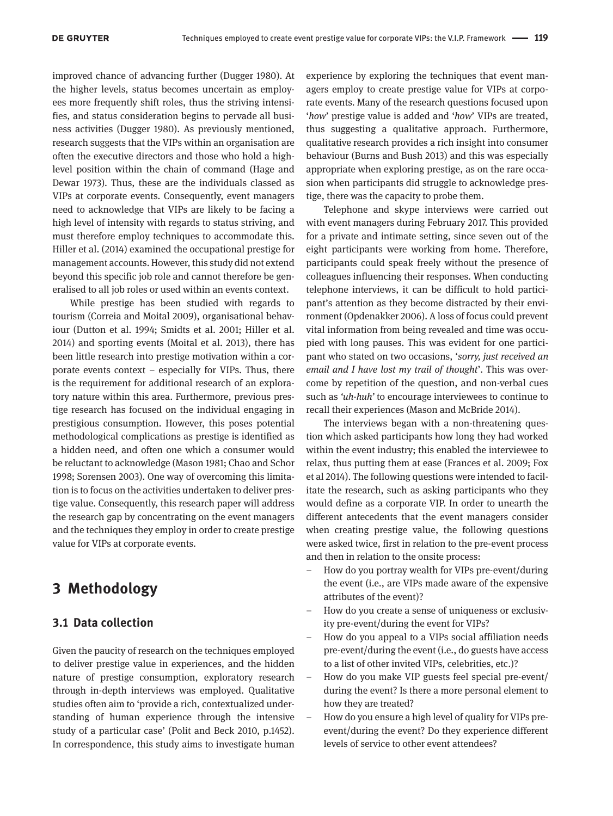improved chance of advancing further (Dugger 1980). At the higher levels, status becomes uncertain as employees more frequently shift roles, thus the striving intensifies, and status consideration begins to pervade all business activities (Dugger 1980). As previously mentioned, research suggests that the VIPs within an organisation are often the executive directors and those who hold a highlevel position within the chain of command (Hage and Dewar 1973). Thus, these are the individuals classed as VIPs at corporate events. Consequently, event managers need to acknowledge that VIPs are likely to be facing a high level of intensity with regards to status striving, and must therefore employ techniques to accommodate this. Hiller et al. (2014) examined the occupational prestige for management accounts. However, this study did not extend beyond this specific job role and cannot therefore be generalised to all job roles or used within an events context.

While prestige has been studied with regards to tourism (Correia and Moital 2009), organisational behaviour (Dutton et al. 1994; Smidts et al. 2001; Hiller et al. 2014) and sporting events (Moital et al. 2013), there has been little research into prestige motivation within a corporate events context – especially for VIPs. Thus, there is the requirement for additional research of an exploratory nature within this area. Furthermore, previous prestige research has focused on the individual engaging in prestigious consumption. However, this poses potential methodological complications as prestige is identified as a hidden need, and often one which a consumer would be reluctant to acknowledge (Mason 1981; Chao and Schor 1998; Sorensen 2003). One way of overcoming this limitation is to focus on the activities undertaken to deliver prestige value. Consequently, this research paper will address the research gap by concentrating on the event managers and the techniques they employ in order to create prestige value for VIPs at corporate events.

# **3 Methodology**

### **3.1 Data collection**

Given the paucity of research on the techniques employed to deliver prestige value in experiences, and the hidden nature of prestige consumption, exploratory research through in-depth interviews was employed. Qualitative studies often aim to 'provide a rich, contextualized understanding of human experience through the intensive study of a particular case' (Polit and Beck 2010, p.1452). In correspondence, this study aims to investigate human

experience by exploring the techniques that event managers employ to create prestige value for VIPs at corporate events. Many of the research questions focused upon '*how*' prestige value is added and '*how*' VIPs are treated, thus suggesting a qualitative approach. Furthermore, qualitative research provides a rich insight into consumer behaviour (Burns and Bush 2013) and this was especially appropriate when exploring prestige, as on the rare occasion when participants did struggle to acknowledge prestige, there was the capacity to probe them.

Telephone and skype interviews were carried out with event managers during February 2017. This provided for a private and intimate setting, since seven out of the eight participants were working from home. Therefore, participants could speak freely without the presence of colleagues influencing their responses. When conducting telephone interviews, it can be difficult to hold participant's attention as they become distracted by their environment (Opdenakker 2006). A loss of focus could prevent vital information from being revealed and time was occupied with long pauses. This was evident for one participant who stated on two occasions, '*sorry, just received an email and I have lost my trail of thought*'. This was overcome by repetition of the question, and non-verbal cues such as *'uh-huh'* to encourage interviewees to continue to recall their experiences (Mason and McBride 2014).

The interviews began with a non-threatening question which asked participants how long they had worked within the event industry; this enabled the interviewee to relax, thus putting them at ease (Frances et al. 2009; Fox et al 2014). The following questions were intended to facilitate the research, such as asking participants who they would define as a corporate VIP. In order to unearth the different antecedents that the event managers consider when creating prestige value, the following questions were asked twice, first in relation to the pre-event process and then in relation to the onsite process:

- How do you portray wealth for VIPs pre-event/during the event (i.e., are VIPs made aware of the expensive attributes of the event)?
- How do you create a sense of uniqueness or exclusivity pre-event/during the event for VIPs?
- How do you appeal to a VIPs social affiliation needs pre-event/during the event (i.e., do guests have access to a list of other invited VIPs, celebrities, etc.)?
- How do you make VIP guests feel special pre-event/ during the event? Is there a more personal element to how they are treated?
- How do you ensure a high level of quality for VIPs preevent/during the event? Do they experience different levels of service to other event attendees?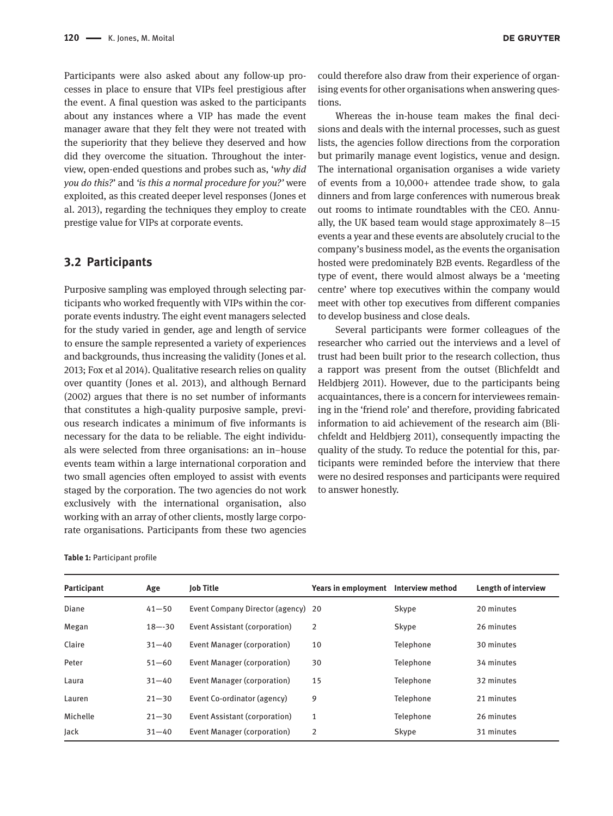Participants were also asked about any follow-up processes in place to ensure that VIPs feel prestigious after the event. A final question was asked to the participants about any instances where a VIP has made the event manager aware that they felt they were not treated with the superiority that they believe they deserved and how did they overcome the situation. Throughout the interview, open-ended questions and probes such as, '*why did you do this?*' and *'is this a normal procedure for you?'* were exploited, as this created deeper level responses (Jones et al. 2013), regarding the techniques they employ to create prestige value for VIPs at corporate events.

### **3.2 Participants**

Purposive sampling was employed through selecting participants who worked frequently with VIPs within the corporate events industry. The eight event managers selected for the study varied in gender, age and length of service to ensure the sample represented a variety of experiences and backgrounds, thus increasing the validity (Jones et al. 2013; Fox et al 2014). Qualitative research relies on quality over quantity (Jones et al. 2013), and although Bernard (2002) argues that there is no set number of informants that constitutes a high-quality purposive sample, previous research indicates a minimum of five informants is necessary for the data to be reliable. The eight individuals were selected from three organisations: an in–house events team within a large international corporation and two small agencies often employed to assist with events staged by the corporation. The two agencies do not work exclusively with the international organisation, also working with an array of other clients, mostly large corporate organisations. Participants from these two agencies

could therefore also draw from their experience of organising events for other organisations when answering questions.

Whereas the in-house team makes the final decisions and deals with the internal processes, such as guest lists, the agencies follow directions from the corporation but primarily manage event logistics, venue and design. The international organisation organises a wide variety of events from a 10,000+ attendee trade show, to gala dinners and from large conferences with numerous break out rooms to intimate roundtables with the CEO. Annually, the UK based team would stage approximately 8—15 events a year and these events are absolutely crucial to the company's business model, as the events the organisation hosted were predominately B2B events. Regardless of the type of event, there would almost always be a 'meeting centre' where top executives within the company would meet with other top executives from different companies to develop business and close deals.

Several participants were former colleagues of the researcher who carried out the interviews and a level of trust had been built prior to the research collection, thus a rapport was present from the outset (Blichfeldt and Heldbjerg 2011). However, due to the participants being acquaintances, there is a concern for interviewees remaining in the 'friend role' and therefore, providing fabricated information to aid achievement of the research aim (Blichfeldt and Heldbjerg 2011), consequently impacting the quality of the study. To reduce the potential for this, participants were reminded before the interview that there were no desired responses and participants were required to answer honestly.

**Table 1:** Participant profile

| Participant | Age        | <b>Job Title</b>                   | Years in employment | <b>Interview method</b> | Length of interview |
|-------------|------------|------------------------------------|---------------------|-------------------------|---------------------|
| Diane       | $41 - 50$  | Event Company Director (agency) 20 |                     | Skype                   | 20 minutes          |
| Megan       | $18 - -30$ | Event Assistant (corporation)      | 2                   | Skype                   | 26 minutes          |
| Claire      | $31 - 40$  | Event Manager (corporation)        | 10                  | Telephone               | 30 minutes          |
| Peter       | $51 - 60$  | Event Manager (corporation)        | 30                  | Telephone               | 34 minutes          |
| Laura       | $31 - 40$  | Event Manager (corporation)        | 15                  | Telephone               | 32 minutes          |
| Lauren      | $21 - 30$  | Event Co-ordinator (agency)        | 9                   | Telephone               | 21 minutes          |
| Michelle    | $21 - 30$  | Event Assistant (corporation)      | 1                   | Telephone               | 26 minutes          |
| Jack        | $31 - 40$  | Event Manager (corporation)        | 2                   | Skype                   | 31 minutes          |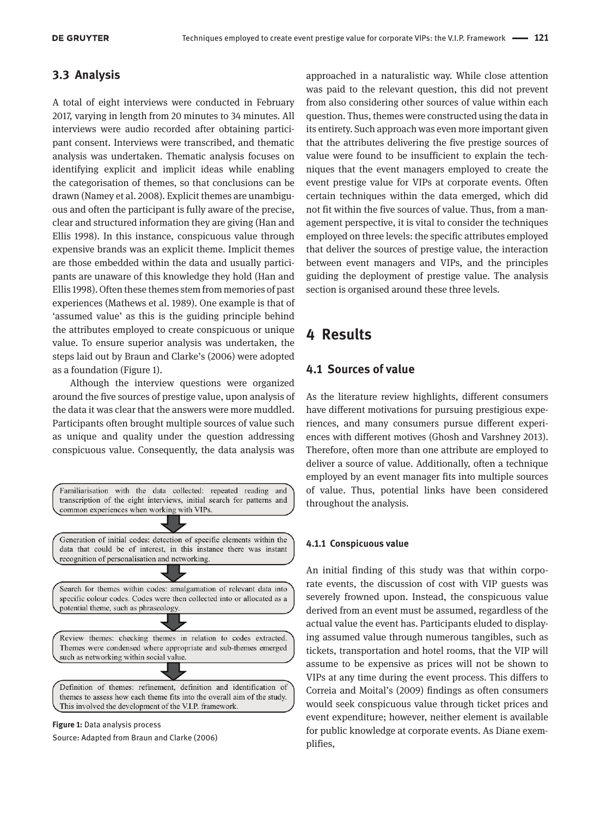# **3.3 Analysis**

A total of eight interviews were conducted in February 2017, varying in length from 20 minutes to 34 minutes. All interviews were audio recorded after obtaining participant consent. Interviews were transcribed, and thematic analysis was undertaken. Thematic analysis focuses on identifying explicit and implicit ideas while enabling the categorisation of themes, so that conclusions can be drawn (Namey et al. 2008). Explicit themes are unambiguous and often the participant is fully aware of the precise, clear and structured information they are giving (Han and Ellis 1998). In this instance, conspicuous value through expensive brands was an explicit theme. Implicit themes are those embedded within the data and usually participants are unaware of this knowledge they hold (Han and Ellis 1998). Often these themes stem from memories of past experiences (Mathews et al. 1989). One example is that of 'assumed value' as this is the guiding principle behind the attributes employed to create conspicuous or unique value. To ensure superior analysis was undertaken, the steps laid out by Braun and Clarke's (2006) were adopted as a foundation (Figure 1).

Although the interview questions were organized around the five sources of prestige value, upon analysis of the data it was clear that the answers were more muddled. Participants often brought multiple sources of value such as unique and quality under the question addressing conspicuous value. Consequently, the data analysis was



Source: Adapted from Braun and Clarke (2006)

approached in a naturalistic way. While close attention was paid to the relevant question, this did not prevent from also considering other sources of value within each question. Thus, themes were constructed using the data in its entirety. Such approach was even more important given that the attributes delivering the five prestige sources of value were found to be insufficient to explain the techniques that the event managers employed to create the event prestige value for VIPs at corporate events. Often certain techniques within the data emerged, which did not fit within the five sources of value. Thus, from a management perspective, it is vital to consider the techniques employed on three levels: the specific attributes employed that deliver the sources of prestige value, the interaction between event managers and VIPs, and the principles guiding the deployment of prestige value. The analysis section is organised around these three levels.

# **4 Results**

### **4.1 Sources of value**

 As the literature review highlights, different consumers have different motivations for pursuing prestigious experiences, and many consumers pursue different experiences with different motives (Ghosh and Varshney 2013). Therefore, often more than one attribute are employed to deliver a source of value. Additionally, often a technique employed by an event manager fits into multiple sources of value. Thus, potential links have been considered throughout the analysis.

#### **4.1.1 Conspicuous value**

An initial finding of this study was that within corporate events, the discussion of cost with VIP guests was severely frowned upon. Instead, the conspicuous value derived from an event must be assumed, regardless of the actual value the event has. Participants eluded to displaying assumed value through numerous tangibles, such as tickets, transportation and hotel rooms, that the VIP will assume to be expensive as prices will not be shown to VIPs at any time during the event process. This differs to Correia and Moital's (2009) findings as often consumers would seek conspicuous value through ticket prices and event expenditure; however, neither element is available for public knowledge at corporate events. As Diane exemplifies,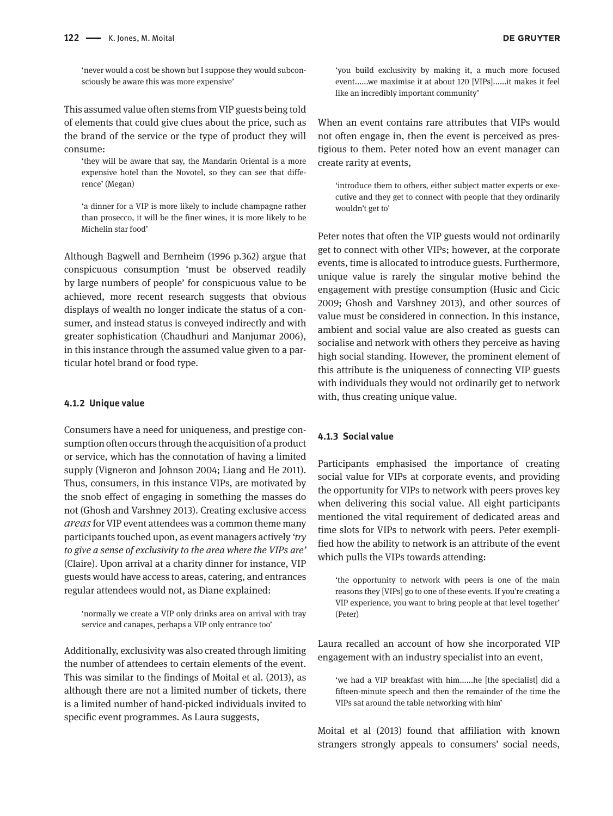'never would a cost be shown but I suppose they would subconsciously be aware this was more expensive'

This assumed value often stems from VIP guests being told of elements that could give clues about the price, such as the brand of the service or the type of product they will consume:

'they will be aware that say, the Mandarin Oriental is a more expensive hotel than the Novotel, so they can see that difference' (Megan)

'a dinner for a VIP is more likely to include champagne rather than prosecco, it will be the finer wines, it is more likely to be Michelin star food'

Although Bagwell and Bernheim (1996 p.362) argue that conspicuous consumption 'must be observed readily by large numbers of people' for conspicuous value to be achieved, more recent research suggests that obvious displays of wealth no longer indicate the status of a consumer, and instead status is conveyed indirectly and with greater sophistication (Chaudhuri and Manjumar 2006), in this instance through the assumed value given to a particular hotel brand or food type.

#### **4.1.2 Unique value**

Consumers have a need for uniqueness, and prestige consumption often occurs through the acquisition of a product or service, which has the connotation of having a limited supply (Vigneron and Johnson 2004; Liang and He 2011). Thus, consumers, in this instance VIPs, are motivated by the snob effect of engaging in something the masses do not (Ghosh and Varshney 2013). Creating exclusive access *areas* for VIP event attendees was a common theme many participants touched upon, as event managers actively *'try to give a sense of exclusivity to the area where the VIPs are'*  (Claire). Upon arrival at a charity dinner for instance, VIP guests would have access to areas, catering, and entrances regular attendees would not, as Diane explained:

'normally we create a VIP only drinks area on arrival with tray service and canapes, perhaps a VIP only entrance too'

Additionally, exclusivity was also created through limiting the number of attendees to certain elements of the event. This was similar to the findings of Moital et al. (2013), as although there are not a limited number of tickets, there is a limited number of hand-picked individuals invited to specific event programmes. As Laura suggests,

'you build exclusivity by making it, a much more focused event......we maximise it at about 120 [VIPs]......it makes it feel like an incredibly important community'

When an event contains rare attributes that VIPs would not often engage in, then the event is perceived as prestigious to them. Peter noted how an event manager can create rarity at events,

'introduce them to others, either subject matter experts or executive and they get to connect with people that they ordinarily wouldn't get to'

Peter notes that often the VIP guests would not ordinarily get to connect with other VIPs; however, at the corporate events, time is allocated to introduce guests. Furthermore, unique value is rarely the singular motive behind the engagement with prestige consumption (Husic and Cicic 2009; Ghosh and Varshney 2013), and other sources of value must be considered in connection. In this instance, ambient and social value are also created as guests can socialise and network with others they perceive as having high social standing. However, the prominent element of this attribute is the uniqueness of connecting VIP guests with individuals they would not ordinarily get to network with, thus creating unique value.

#### **4.1.3 Social value**

Participants emphasised the importance of creating social value for VIPs at corporate events, and providing the opportunity for VIPs to network with peers proves key when delivering this social value. All eight participants mentioned the vital requirement of dedicated areas and time slots for VIPs to network with peers. Peter exemplified how the ability to network is an attribute of the event which pulls the VIPs towards attending:

'the opportunity to network with peers is one of the main reasons they [VIPs] go to one of these events. If you're creating a VIP experience, you want to bring people at that level together' (Peter)

Laura recalled an account of how she incorporated VIP engagement with an industry specialist into an event,

'we had a VIP breakfast with him......he [the specialist] did a fifteen-minute speech and then the remainder of the time the VIPs sat around the table networking with him'

Moital et al (2013) found that affiliation with known strangers strongly appeals to consumers' social needs,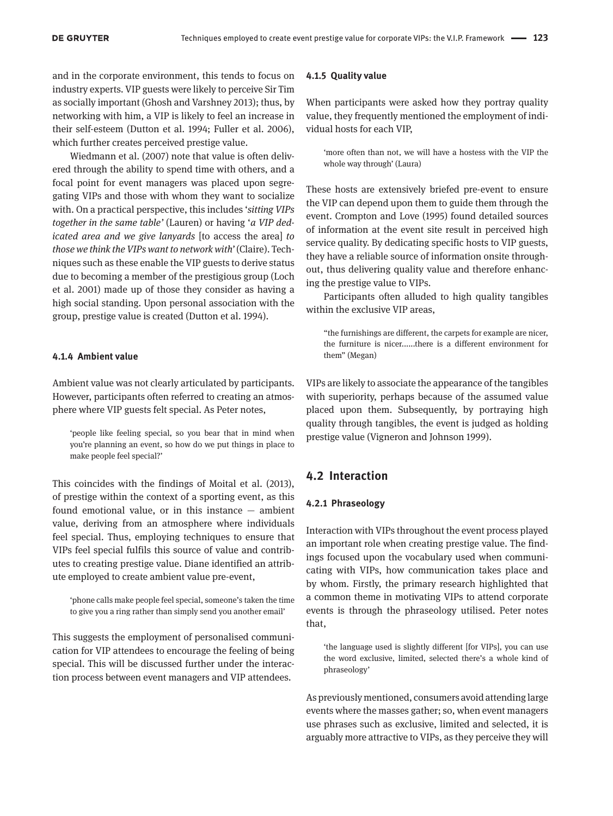and in the corporate environment, this tends to focus on industry experts. VIP guests were likely to perceive Sir Tim as socially important (Ghosh and Varshney 2013); thus, by networking with him, a VIP is likely to feel an increase in their self-esteem (Dutton et al. 1994; Fuller et al. 2006), which further creates perceived prestige value.

Wiedmann et al. (2007) note that value is often delivered through the ability to spend time with others, and a focal point for event managers was placed upon segregating VIPs and those with whom they want to socialize with. On a practical perspective, this includes '*sitting VIPs together in the same table'* (Lauren) or having '*a VIP dedicated area and we give lanyards* [to access the area] *to those we think the VIPs want to network with'* (Claire). Techniques such as these enable the VIP guests to derive status due to becoming a member of the prestigious group (Loch et al. 2001) made up of those they consider as having a high social standing. Upon personal association with the group, prestige value is created (Dutton et al. 1994).

#### **4.1.4 Ambient value**

Ambient value was not clearly articulated by participants. However, participants often referred to creating an atmosphere where VIP guests felt special. As Peter notes,

'people like feeling special, so you bear that in mind when you're planning an event, so how do we put things in place to make people feel special?'

This coincides with the findings of Moital et al. (2013), of prestige within the context of a sporting event, as this found emotional value, or in this instance — ambient value, deriving from an atmosphere where individuals feel special. Thus, employing techniques to ensure that VIPs feel special fulfils this source of value and contributes to creating prestige value. Diane identified an attribute employed to create ambient value pre-event,

'phone calls make people feel special, someone's taken the time to give you a ring rather than simply send you another email'

This suggests the employment of personalised communication for VIP attendees to encourage the feeling of being special. This will be discussed further under the interaction process between event managers and VIP attendees.

#### **4.1.5 Quality value**

When participants were asked how they portray quality value, they frequently mentioned the employment of individual hosts for each VIP,

'more often than not, we will have a hostess with the VIP the whole way through' (Laura)

These hosts are extensively briefed pre-event to ensure the VIP can depend upon them to guide them through the event. Crompton and Love (1995) found detailed sources of information at the event site result in perceived high service quality. By dedicating specific hosts to VIP guests, they have a reliable source of information onsite throughout, thus delivering quality value and therefore enhancing the prestige value to VIPs.

Participants often alluded to high quality tangibles within the exclusive VIP areas,

"the furnishings are different, the carpets for example are nicer, the furniture is nicer......there is a different environment for them" (Megan)

VIPs are likely to associate the appearance of the tangibles with superiority, perhaps because of the assumed value placed upon them. Subsequently, by portraying high quality through tangibles, the event is judged as holding prestige value (Vigneron and Johnson 1999).

### **4.2 Interaction**

#### **4.2.1 Phraseology**

Interaction with VIPs throughout the event process played an important role when creating prestige value. The findings focused upon the vocabulary used when communicating with VIPs, how communication takes place and by whom. Firstly, the primary research highlighted that a common theme in motivating VIPs to attend corporate events is through the phraseology utilised. Peter notes that,

'the language used is slightly different [for VIPs], you can use the word exclusive, limited, selected there's a whole kind of phraseology'

As previously mentioned, consumers avoid attending large events where the masses gather; so, when event managers use phrases such as exclusive, limited and selected, it is arguably more attractive to VIPs, as they perceive they will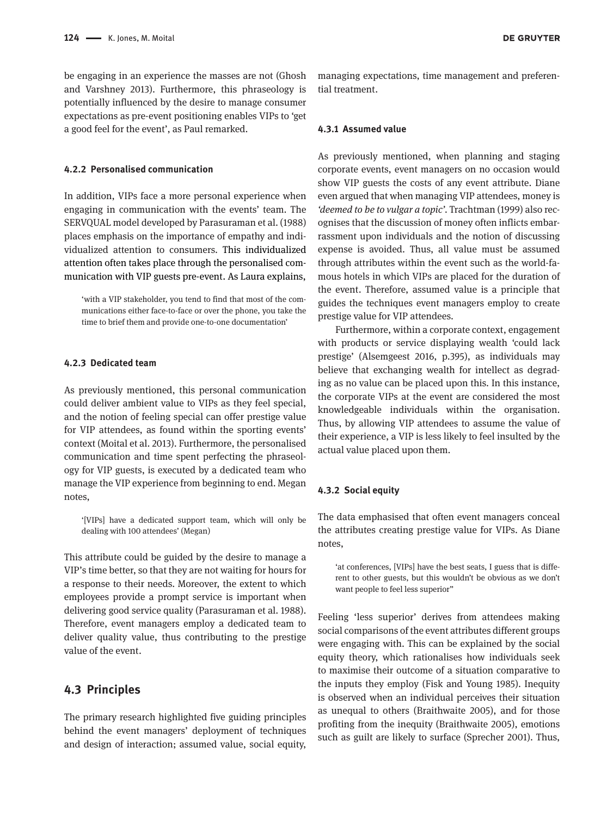be engaging in an experience the masses are not (Ghosh and Varshney 2013). Furthermore, this phraseology is potentially influenced by the desire to manage consumer expectations as pre-event positioning enables VIPs to 'get a good feel for the event', as Paul remarked.

#### **4.2.2 Personalised communication**

In addition, VIPs face a more personal experience when engaging in communication with the events' team. The SERVQUAL model developed by Parasuraman et al. (1988) places emphasis on the importance of empathy and individualized attention to consumers. This individualized attention often takes place through the personalised communication with VIP guests pre-event. As Laura explains,

'with a VIP stakeholder, you tend to find that most of the communications either face-to-face or over the phone, you take the time to brief them and provide one-to-one documentation'

### **4.2.3 Dedicated team**

As previously mentioned, this personal communication could deliver ambient value to VIPs as they feel special, and the notion of feeling special can offer prestige value for VIP attendees, as found within the sporting events' context (Moital et al. 2013). Furthermore, the personalised communication and time spent perfecting the phraseology for VIP guests, is executed by a dedicated team who manage the VIP experience from beginning to end. Megan notes,

'[VIPs] have a dedicated support team, which will only be dealing with 100 attendees' (Megan)

This attribute could be guided by the desire to manage a VIP's time better, so that they are not waiting for hours for a response to their needs. Moreover, the extent to which employees provide a prompt service is important when delivering good service quality (Parasuraman et al. 1988). Therefore, event managers employ a dedicated team to deliver quality value, thus contributing to the prestige value of the event.

### **4.3 Principles**

The primary research highlighted five guiding principles behind the event managers' deployment of techniques and design of interaction; assumed value, social equity, **DE GRUYTER** 

#### **4.3.1 Assumed value**

tial treatment.

As previously mentioned, when planning and staging corporate events, event managers on no occasion would show VIP guests the costs of any event attribute. Diane even argued that when managing VIP attendees, money is *'deemed to be to vulgar a topic'.* Trachtman (1999) also recognises that the discussion of money often inflicts embarrassment upon individuals and the notion of discussing expense is avoided. Thus, all value must be assumed through attributes within the event such as the world-famous hotels in which VIPs are placed for the duration of the event. Therefore, assumed value is a principle that guides the techniques event managers employ to create prestige value for VIP attendees.

Furthermore, within a corporate context, engagement with products or service displaying wealth 'could lack prestige' (Alsemgeest 2016, p.395), as individuals may believe that exchanging wealth for intellect as degrading as no value can be placed upon this. In this instance, the corporate VIPs at the event are considered the most knowledgeable individuals within the organisation. Thus, by allowing VIP attendees to assume the value of their experience, a VIP is less likely to feel insulted by the actual value placed upon them.

#### **4.3.2 Social equity**

The data emphasised that often event managers conceal the attributes creating prestige value for VIPs. As Diane notes,

'at conferences, [VIPs] have the best seats, I guess that is different to other guests, but this wouldn't be obvious as we don't want people to feel less superior"

Feeling 'less superior' derives from attendees making social comparisons of the event attributes different groups were engaging with. This can be explained by the social equity theory, which rationalises how individuals seek to maximise their outcome of a situation comparative to the inputs they employ (Fisk and Young 1985). Inequity is observed when an individual perceives their situation as unequal to others (Braithwaite 2005), and for those profiting from the inequity (Braithwaite 2005), emotions such as guilt are likely to surface (Sprecher 2001). Thus,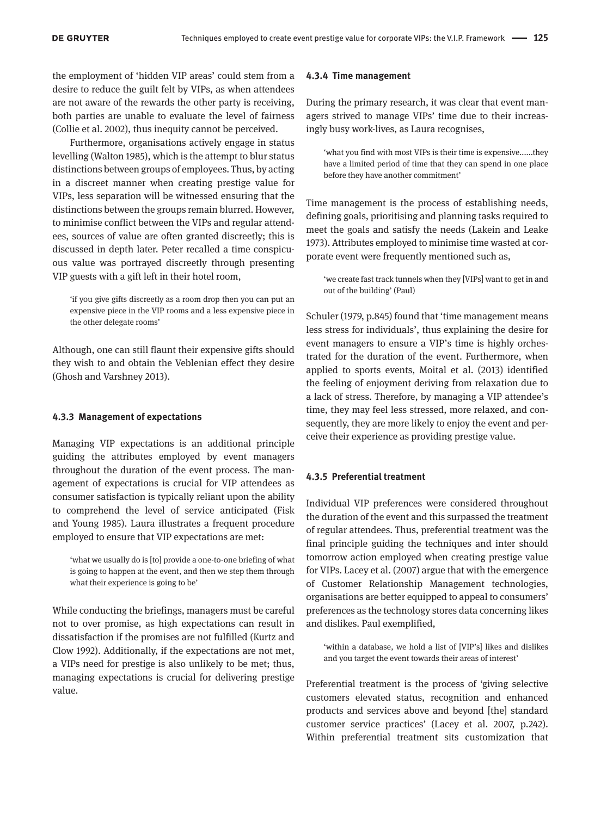the employment of 'hidden VIP areas' could stem from a desire to reduce the guilt felt by VIPs, as when attendees are not aware of the rewards the other party is receiving, both parties are unable to evaluate the level of fairness (Collie et al. 2002), thus inequity cannot be perceived.

Furthermore, organisations actively engage in status levelling (Walton 1985), which is the attempt to blur status distinctions between groups of employees. Thus, by acting in a discreet manner when creating prestige value for VIPs, less separation will be witnessed ensuring that the distinctions between the groups remain blurred. However, to minimise conflict between the VIPs and regular attendees, sources of value are often granted discreetly; this is discussed in depth later. Peter recalled a time conspicuous value was portrayed discreetly through presenting VIP guests with a gift left in their hotel room,

'if you give gifts discreetly as a room drop then you can put an expensive piece in the VIP rooms and a less expensive piece in the other delegate rooms'

Although, one can still flaunt their expensive gifts should they wish to and obtain the Veblenian effect they desire (Ghosh and Varshney 2013).

#### **4.3.3 Management of expectations**

Managing VIP expectations is an additional principle guiding the attributes employed by event managers throughout the duration of the event process. The management of expectations is crucial for VIP attendees as consumer satisfaction is typically reliant upon the ability to comprehend the level of service anticipated (Fisk and Young 1985). Laura illustrates a frequent procedure employed to ensure that VIP expectations are met:

'what we usually do is [to] provide a one-to-one briefing of what is going to happen at the event, and then we step them through what their experience is going to be'

While conducting the briefings, managers must be careful not to over promise, as high expectations can result in dissatisfaction if the promises are not fulfilled (Kurtz and Clow 1992). Additionally, if the expectations are not met, a VIPs need for prestige is also unlikely to be met; thus, managing expectations is crucial for delivering prestige value.

#### **4.3.4 Time management**

During the primary research, it was clear that event managers strived to manage VIPs' time due to their increasingly busy work-lives, as Laura recognises,

'what you find with most VIPs is their time is expensive......they have a limited period of time that they can spend in one place before they have another commitment'

Time management is the process of establishing needs, defining goals, prioritising and planning tasks required to meet the goals and satisfy the needs (Lakein and Leake 1973). Attributes employed to minimise time wasted at corporate event were frequently mentioned such as,

'we create fast track tunnels when they [VIPs] want to get in and out of the building' (Paul)

Schuler (1979, p.845) found that 'time management means less stress for individuals', thus explaining the desire for event managers to ensure a VIP's time is highly orchestrated for the duration of the event. Furthermore, when applied to sports events, Moital et al. (2013) identified the feeling of enjoyment deriving from relaxation due to a lack of stress. Therefore, by managing a VIP attendee's time, they may feel less stressed, more relaxed, and consequently, they are more likely to enjoy the event and perceive their experience as providing prestige value.

#### **4.3.5 Preferential treatment**

Individual VIP preferences were considered throughout the duration of the event and this surpassed the treatment of regular attendees. Thus, preferential treatment was the final principle guiding the techniques and inter should tomorrow action employed when creating prestige value for VIPs. Lacey et al. (2007) argue that with the emergence of Customer Relationship Management technologies, organisations are better equipped to appeal to consumers' preferences as the technology stores data concerning likes and dislikes. Paul exemplified,

'within a database, we hold a list of [VIP's] likes and dislikes and you target the event towards their areas of interest'

Preferential treatment is the process of 'giving selective customers elevated status, recognition and enhanced products and services above and beyond [the] standard customer service practices' (Lacey et al. 2007, p.242). Within preferential treatment sits customization that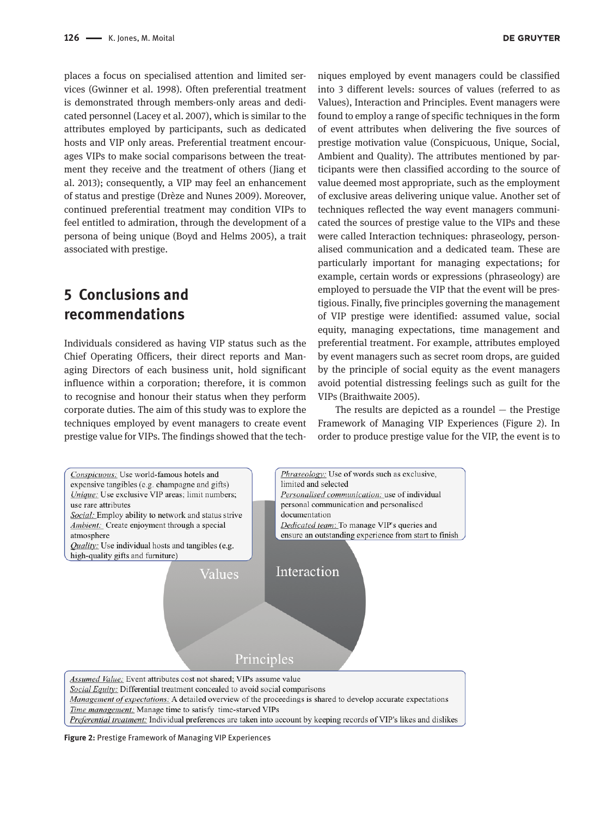places a focus on specialised attention and limited services (Gwinner et al. 1998). Often preferential treatment is demonstrated through members-only areas and dedicated personnel (Lacey et al. 2007), which is similar to the attributes employed by participants, such as dedicated hosts and VIP only areas. Preferential treatment encourages VIPs to make social comparisons between the treatment they receive and the treatment of others (Jiang et al. 2013); consequently, a VIP may feel an enhancement of status and prestige (Drèze and Nunes 2009). Moreover, continued preferential treatment may condition VIPs to feel entitled to admiration, through the development of a persona of being unique (Boyd and Helms 2005), a trait associated with prestige.

# **5 Conclusions and recommendations**

Individuals considered as having VIP status such as the Chief Operating Officers, their direct reports and Managing Directors of each business unit, hold significant influence within a corporation; therefore, it is common to recognise and honour their status when they perform corporate duties. The aim of this study was to explore the techniques employed by event managers to create event prestige value for VIPs. The findings showed that the tech-

niques employed by event managers could be classified into 3 different levels: sources of values (referred to as Values), Interaction and Principles. Event managers were found to employ a range of specific techniques in the form of event attributes when delivering the five sources of prestige motivation value (Conspicuous, Unique, Social, Ambient and Quality). The attributes mentioned by participants were then classified according to the source of value deemed most appropriate, such as the employment of exclusive areas delivering unique value. Another set of techniques reflected the way event managers communicated the sources of prestige value to the VIPs and these were called Interaction techniques: phraseology, personalised communication and a dedicated team. These are particularly important for managing expectations; for example, certain words or expressions (phraseology) are employed to persuade the VIP that the event will be prestigious. Finally, five principles governing the management of VIP prestige were identified: assumed value, social equity, managing expectations, time management and preferential treatment. For example, attributes employed by event managers such as secret room drops, are guided by the principle of social equity as the event managers avoid potential distressing feelings such as guilt for the VIPs (Braithwaite 2005).

The results are depicted as a roundel  $-$  the Prestige Framework of Managing VIP Experiences (Figure 2). In order to produce prestige value for the VIP, the event is to



**Figure 2:** Prestige Framework of Managing VIP Experiences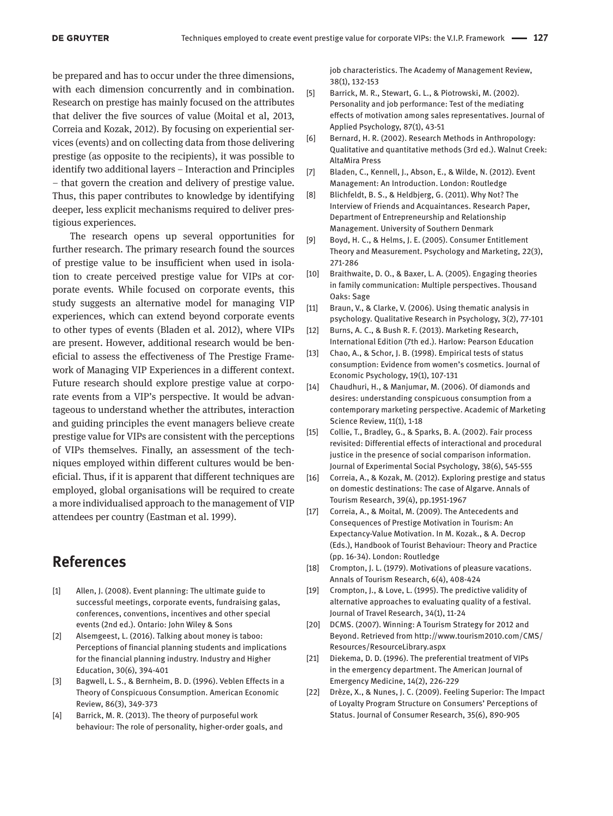be prepared and has to occur under the three dimensions, with each dimension concurrently and in combination. Research on prestige has mainly focused on the attributes that deliver the five sources of value (Moital et al, 2013, Correia and Kozak, 2012). By focusing on experiential services (events) and on collecting data from those delivering prestige (as opposite to the recipients), it was possible to identify two additional layers – Interaction and Principles – that govern the creation and delivery of prestige value. Thus, this paper contributes to knowledge by identifying deeper, less explicit mechanisms required to deliver prestigious experiences.

The research opens up several opportunities for further research. The primary research found the sources of prestige value to be insufficient when used in isolation to create perceived prestige value for VIPs at corporate events. While focused on corporate events, this study suggests an alternative model for managing VIP experiences, which can extend beyond corporate events to other types of events (Bladen et al. 2012), where VIPs are present. However, additional research would be beneficial to assess the effectiveness of The Prestige Framework of Managing VIP Experiences in a different context. Future research should explore prestige value at corporate events from a VIP's perspective. It would be advantageous to understand whether the attributes, interaction and guiding principles the event managers believe create prestige value for VIPs are consistent with the perceptions of VIPs themselves. Finally, an assessment of the techniques employed within different cultures would be beneficial. Thus, if it is apparent that different techniques are employed, global organisations will be required to create a more individualised approach to the management of VIP attendees per country (Eastman et al. 1999).

# **References**

- [1] Allen, J. (2008). Event planning: The ultimate guide to successful meetings, corporate events, fundraising galas, conferences, conventions, incentives and other special events (2nd ed.). Ontario: John Wiley & Sons
- [2] Alsemgeest, L. (2016). Talking about money is taboo: Perceptions of financial planning students and implications for the financial planning industry. Industry and Higher Education, 30(6), 394-401
- [3] Bagwell, L. S., & Bernheim, B. D. (1996). Veblen Effects in a Theory of Conspicuous Consumption. American Economic Review, 86(3), 349-373
- [4] Barrick, M. R. (2013). The theory of purposeful work behaviour: The role of personality, higher-order goals, and

job characteristics. The Academy of Management Review, 38(1), 132-153

- [5] Barrick, M. R., Stewart, G. L., & Piotrowski, M. (2002). Personality and job performance: Test of the mediating effects of motivation among sales representatives. Journal of Applied Psychology, 87(1), 43-51
- [6] Bernard, H. R. (2002). Research Methods in Anthropology: Qualitative and quantitative methods (3rd ed.). Walnut Creek: AltaMira Press
- [7] Bladen, C., Kennell, J., Abson, E., & Wilde, N. (2012). Event Management: An Introduction. London: Routledge
- [8] Blichfeldt, B. S., & Heldbjerg, G. (2011). Why Not? The Interview of Friends and Acquaintances. Research Paper, Department of Entrepreneurship and Relationship Management. University of Southern Denmark
- [9] Boyd, H. C., & Helms, J. E. (2005). Consumer Entitlement Theory and Measurement. Psychology and Marketing, 22(3), 271-286
- [10] Braithwaite, D. O., & Baxer, L. A. (2005). Engaging theories in family communication: Multiple perspectives. Thousand Oaks: Sage
- [11] Braun, V., & Clarke, V. (2006). Using thematic analysis in psychology. Qualitative Research in Psychology, 3(2), 77-101
- [12] Burns, A. C., & Bush R. F. (2013). Marketing Research, International Edition (7th ed.). Harlow: Pearson Education
- [13] Chao, A., & Schor, J. B. (1998). Empirical tests of status consumption: Evidence from women's cosmetics. Journal of Economic Psychology, 19(1), 107-131
- [14] Chaudhuri, H., & Manjumar, M. (2006). Of diamonds and desires: understanding conspicuous consumption from a contemporary marketing perspective. Academic of Marketing Science Review, 11(1), 1-18
- [15] Collie, T., Bradley, G., & Sparks, B. A. (2002). Fair process revisited: Differential effects of interactional and procedural justice in the presence of social comparison information. Journal of Experimental Social Psychology, 38(6), 545-555
- [16] Correia, A., & Kozak, M. (2012). Exploring prestige and status on domestic destinations: The case of Algarve. Annals of Tourism Research, 39(4), pp.1951-1967
- [17] Correia, A., & Moital, M. (2009). The Antecedents and Consequences of Prestige Motivation in Tourism: An Expectancy-Value Motivation. In M. Kozak., & A. Decrop (Eds.), Handbook of Tourist Behaviour: Theory and Practice (pp. 16-34). London: Routledge
- [18] Crompton, J. L. (1979). Motivations of pleasure vacations. Annals of Tourism Research, 6(4), 408-424
- [19] Crompton, J., & Love, L. (1995). The predictive validity of alternative approaches to evaluating quality of a festival. Journal of Travel Research, 34(1), 11-24
- [20] DCMS. (2007). Winning: A Tourism Strategy for 2012 and Beyond. Retrieved from http://www.tourism2010.com/CMS/ Resources/ResourceLibrary.aspx
- [21] Diekema, D. D. (1996). The preferential treatment of VIPs in the emergency department. The American Journal of Emergency Medicine, 14(2), 226-229
- [22] Drèze, X., & Nunes, J. C. (2009). Feeling Superior: The Impact of Loyalty Program Structure on Consumers' Perceptions of Status. Journal of Consumer Research, 35(6), 890-905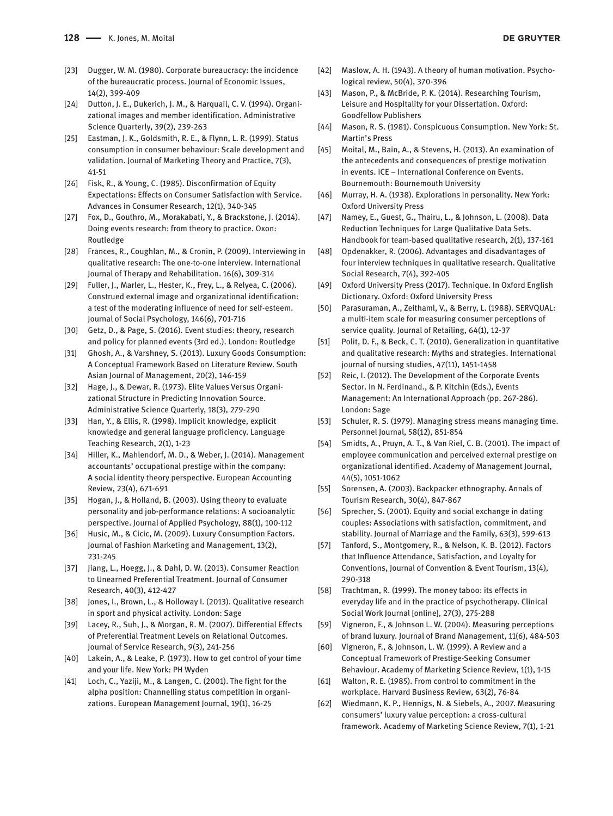- [23] Dugger, W. M. (1980). Corporate bureaucracy: the incidence of the bureaucratic process. Journal of Economic Issues, 14(2), 399-409
- [24] Dutton, J. E., Dukerich, J. M., & Harquail, C. V. (1994). Organizational images and member identification. Administrative Science Quarterly, 39(2), 239-263
- [25] Eastman, J. K., Goldsmith, R. E., & Flynn, L. R. (1999). Status consumption in consumer behaviour: Scale development and validation. Journal of Marketing Theory and Practice, 7(3), 41-51
- [26] Fisk, R., & Young, C. (1985). Disconfirmation of Equity Expectations: Effects on Consumer Satisfaction with Service. Advances in Consumer Research, 12(1), 340-345
- [27] Fox, D., Gouthro, M., Morakabati, Y., & Brackstone, J. (2014). Doing events research: from theory to practice. Oxon: Routledge
- [28] Frances, R., Coughlan, M., & Cronin, P. (2009). Interviewing in qualitative research: The one-to-one interview. International Journal of Therapy and Rehabilitation. 16(6), 309-314
- [29] Fuller, J., Marler, L., Hester, K., Frey, L., & Relyea, C. (2006). Construed external image and organizational identification: a test of the moderating influence of need for self-esteem. Journal of Social Psychology, 146(6), 701-716
- [30] Getz, D., & Page, S. (2016). Event studies: theory, research and policy for planned events (3rd ed.). London: Routledge
- [31] Ghosh, A., & Varshney, S. (2013). Luxury Goods Consumption: A Conceptual Framework Based on Literature Review. South Asian Journal of Management, 20(2), 146-159
- [32] Hage, J., & Dewar, R. (1973). Elite Values Versus Organizational Structure in Predicting Innovation Source. Administrative Science Quarterly, 18(3), 279-290
- [33] Han, Y., & Ellis, R. (1998). Implicit knowledge, explicit knowledge and general language proficiency. Language Teaching Research, 2(1), 1-23
- [34] Hiller, K., Mahlendorf, M. D., & Weber, J. (2014). Management accountants' occupational prestige within the company: A social identity theory perspective. European Accounting Review, 23(4), 671-691
- [35] Hogan, J., & Holland, B. (2003). Using theory to evaluate personality and job-performance relations: A socioanalytic perspective. Journal of Applied Psychology, 88(1), 100-112
- [36] Husic, M., & Cicic, M. (2009). Luxury Consumption Factors. Journal of Fashion Marketing and Management, 13(2), 231-245
- [37] Jiang, L., Hoegg, J., & Dahl, D. W. (2013). Consumer Reaction to Unearned Preferential Treatment. Journal of Consumer Research, 40(3), 412-427
- [38] Jones, I., Brown, L., & Holloway I. (2013). Qualitative research in sport and physical activity. London: Sage
- [39] Lacey, R., Suh, J., & Morgan, R. M. (2007). Differential Effects of Preferential Treatment Levels on Relational Outcomes. Journal of Service Research, 9(3), 241-256
- [40] Lakein, A., & Leake, P. (1973). How to get control of your time and your life. New York: PH Wyden
- [41] Loch, C., Yaziji, M., & Langen, C. (2001). The fight for the alpha position: Channelling status competition in organizations. European Management Journal, 19(1), 16-25
- [42] Maslow, A. H. (1943). A theory of human motivation. Psychological review, 50(4), 370-396
- [43] Mason, P., & McBride, P. K. (2014). Researching Tourism, Leisure and Hospitality for your Dissertation. Oxford: Goodfellow Publishers
- [44] Mason, R. S. (1981). Conspicuous Consumption. New York: St. Martin's Press
- [45] Moital, M., Bain, A., & Stevens, H. (2013). An examination of the antecedents and consequences of prestige motivation in events. ICE – International Conference on Events. Bournemouth: Bournemouth University
- [46] Murray, H. A. (1938). Explorations in personality. New York: Oxford University Press
- [47] Namey, E., Guest, G., Thairu, L., & Johnson, L. (2008). Data Reduction Techniques for Large Qualitative Data Sets. Handbook for team-based qualitative research, 2(1), 137-161
- [48] Opdenakker, R. (2006). Advantages and disadvantages of four interview techniques in qualitative research. Qualitative Social Research, 7(4), 392-405
- [49] Oxford University Press (2017). Technique. In Oxford English Dictionary. Oxford: Oxford University Press
- [50] Parasuraman, A., Zeithaml, V., & Berry, L. (1988). SERVQUAL: a multi-item scale for measuring consumer perceptions of service quality. Journal of Retailing, 64(1), 12-37
- [51] Polit, D. F., & Beck, C. T. (2010). Generalization in quantitative and qualitative research: Myths and strategies. International journal of nursing studies, 47(11), 1451-1458
- [52] Reic, I. (2012). The Development of the Corporate Events Sector. In N. Ferdinand., & P. Kitchin (Eds.), Events Management: An International Approach (pp. 267-286). London: Sage
- [53] Schuler, R. S. (1979). Managing stress means managing time. Personnel Journal, 58(12), 851-854
- [54] Smidts, A., Pruyn, A. T., & Van Riel, C. B. (2001). The impact of employee communication and perceived external prestige on organizational identified. Academy of Management Journal, 44(5), 1051-1062
- [55] Sorensen, A. (2003). Backpacker ethnography. Annals of Tourism Research, 30(4), 847-867
- [56] Sprecher, S. (2001). Equity and social exchange in dating couples: Associations with satisfaction, commitment, and stability. Journal of Marriage and the Family, 63(3), 599-613
- [57] Tanford, S., Montgomery, R., & Nelson, K. B. (2012). Factors that Influence Attendance, Satisfaction, and Loyalty for Conventions, Journal of Convention & Event Tourism, 13(4), 290-318
- [58] Trachtman, R. (1999). The money taboo: its effects in everyday life and in the practice of psychotherapy. Clinical Social Work Journal [online], 27(3), 275-288
- [59] Vigneron, F., & Johnson L. W. (2004). Measuring perceptions of brand luxury. Journal of Brand Management, 11(6), 484-503
- [60] Vigneron, F., & Johnson, L. W. (1999). A Review and a Conceptual Framework of Prestige-Seeking Consumer Behaviour. Academy of Marketing Science Review, 1(1), 1-15
- [61] Walton, R. E. (1985). From control to commitment in the workplace. Harvard Business Review, 63(2), 76-84
- [62] Wiedmann, K. P., Hennigs, N. & Siebels, A., 2007. Measuring consumers' luxury value perception: a cross-cultural framework. Academy of Marketing Science Review, 7(1), 1-21